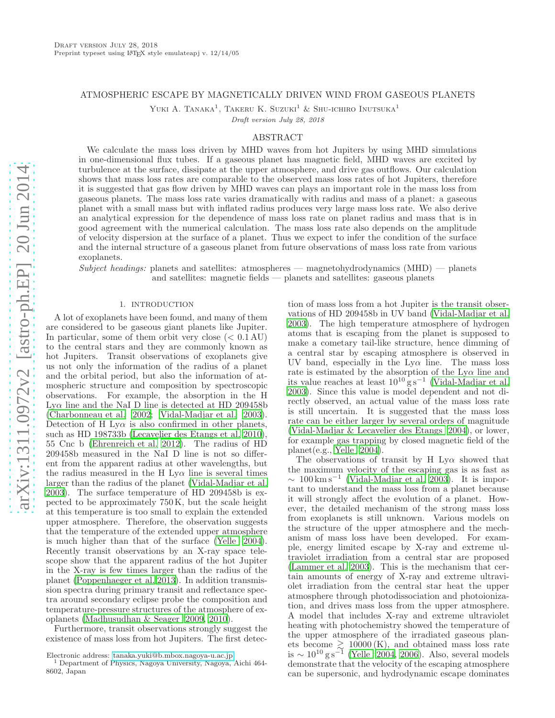# ATMOSPHERIC ESCAPE BY MAGNETICALLY DRIVEN WIND FROM GASEOUS PLANETS

YUKI A. TANAKA<sup>1</sup>, TAKERU K. SUZUKI<sup>1</sup> & SHU-ICHIRO INUTSUKA<sup>1</sup>

Draft version July 28, 2018

### ABSTRACT

We calculate the mass loss driven by MHD waves from hot Jupiters by using MHD simulations in one-dimensional flux tubes. If a gaseous planet has magnetic field, MHD waves are excited by turbulence at the surface, dissipate at the upper atmosphere, and drive gas outflows. Our calculation shows that mass loss rates are comparable to the observed mass loss rates of hot Jupiters, therefore it is suggested that gas flow driven by MHD waves can plays an important role in the mass loss from gaseous planets. The mass loss rate varies dramatically with radius and mass of a planet: a gaseous planet with a small mass but with inflated radius produces very large mass loss rate. We also derive an analytical expression for the dependence of mass loss rate on planet radius and mass that is in good agreement with the numerical calculation. The mass loss rate also depends on the amplitude of velocity dispersion at the surface of a planet. Thus we expect to infer the condition of the surface and the internal structure of a gaseous planet from future observations of mass loss rate from various exoplanets.

Subject headings: planets and satellites: atmospheres — magnetohydrodynamics  $(MHD)$  — planets and satellites: magnetic fields — planets and satellites: gaseous planets

## 1. INTRODUCTION

A lot of exoplanets have been found, and many of them are considered to be gaseous giant planets like Jupiter. In particular, some of them orbit very close  $( $0.1 \text{ AU}$ )$ to the central stars and they are commonly known as hot Jupiters. Transit observations of exoplanets give us not only the information of the radius of a planet and the orbital period, but also the information of atmospheric structure and composition by spectroscopic observations. For example, the absorption in the H Lyα line and the NaI D line is detected at HD 209458b [\(Charbonneau et al. 2002](#page-8-0); [Vidal-Madjar et al. 2003\)](#page-8-1). Detection of H Ly $\alpha$  is also confirmed in other planets, such as HD 198733b [\(Lecavelier des Etangs et al. 2010\)](#page-8-2), 55 Cnc b [\(Ehrenreich et al. 2012\)](#page-8-3). The radius of HD 209458b measured in the NaI D line is not so different from the apparent radius at other wavelengths, but the radius measured in the H  $Ly\alpha$  line is several times larger than the radius of the planet [\(Vidal-Madjar et al.](#page-8-1) [2003\)](#page-8-1). The surface temperature of HD 209458b is expected to be approximately 750 K, but the scale height at this temperature is too small to explain the extended upper atmosphere. Therefore, the observation suggests that the temperature of the extended upper atmosphere is much higher than that of the surface [\(Yelle 2004\)](#page-8-4). Recently transit observations by an X-ray space telescope show that the apparent radius of the hot Jupiter in the X-ray is few times larger than the radius of the planet [\(Poppenhaeger et al. 2013\)](#page-8-5). In addition transmission spectra during primary transit and reflectance spectra around secondary eclipse probe the composition and temperature-pressure structures of the atmosphere of exoplanets [\(Madhusudhan & Seager 2009,](#page-8-6) [2010\)](#page-8-7).

Furthermore, transit observations strongly suggest the existence of mass loss from hot Jupiters. The first detec-

tion of mass loss from a hot Jupiter is the transit observations of HD 209458b in UV band [\(Vidal-Madjar et al.](#page-8-1) [2003\)](#page-8-1). The high temperature atmosphere of hydrogen atoms that is escaping from the planet is supposed to make a cometary tail-like structure, hence dimming of a central star by escaping atmosphere is observed in UV band, especially in the  $Ly\alpha$  line. The mass loss rate is estimated by the absorption of the  $Ly\alpha$  line and its value reaches at least  $10^{10}$  g s<sup>−1</sup> [\(Vidal-Madjar et al.](#page-8-1) [2003\)](#page-8-1). Since this value is model dependent and not directly observed, an actual value of the mass loss rate is still uncertain. It is suggested that the mass loss rate can be either larger by several orders of magnitude [\(Vidal-Madjar & Lecavelier des Etangs 2004\)](#page-8-8), or lower, for example gas trapping by closed magnetic field of the planet(e.g., [Yelle 2004](#page-8-4)).

The observations of transit by H Ly $\alpha$  showed that the maximum velocity of the escaping gas is as fast as  $\sim 100 \,\mathrm{km \, s^{-1}}$  [\(Vidal-Madjar et al. 2003](#page-8-1)). It is important to understand the mass loss from a planet because it will strongly affect the evolution of a planet. However, the detailed mechanism of the strong mass loss from exoplanets is still unknown. Various models on the structure of the upper atmosphere and the mechanism of mass loss have been developed. For example, energy limited escape by X-ray and extreme ultraviolet irradiation from a central star are proposed [\(Lammer et al. 2003\)](#page-8-9). This is the mechanism that certain amounts of energy of X-ray and extreme ultraviolet irradiation from the central star heat the upper atmosphere through photodissociation and photoionization, and drives mass loss from the upper atmosphere. A model that includes X-ray and extreme ultraviolet heating with photochemistry showed the temperature of the upper atmosphere of the irradiated gaseous planets become  $\geq 10000$  (K), and obtained mass loss rate<br>is ~  $10^{10}$  g s<sup>-1</sup> [\(Yelle 2004,](#page-8-4) [2006\)](#page-8-10). Also, several models demonstrate that the velocity of the escaping atmosphere can be supersonic, and hydrodynamic escape dominates

Electronic address: [tanaka.yuki@b.mbox.nagoya-u.ac.jp](mailto:tanaka.yuki@b.mbox.nagoya-u.ac.jp)

<sup>1</sup> Department of Physics, Nagoya University, Nagoya, Aichi 464- 8602, Japan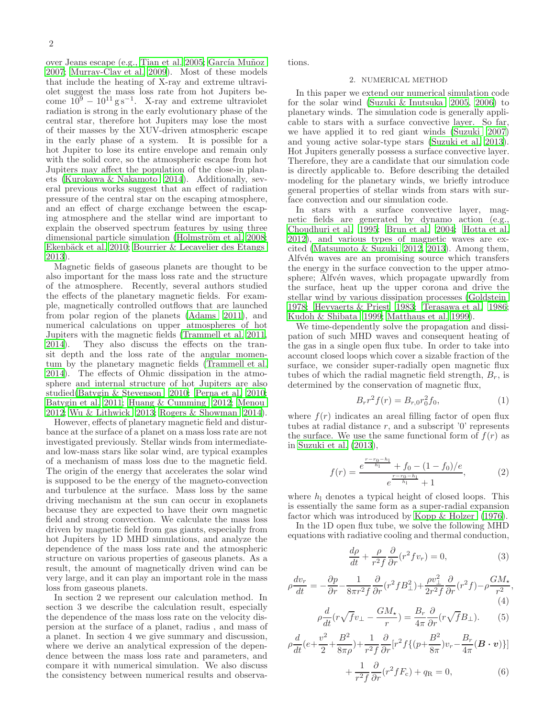over Jeans escape (e.g., [Tian et al. 2005](#page-8-11); García Muñoz [2007;](#page-8-12) [Murray-Clay et al. 2009\)](#page-8-13). Most of these models that include the heating of X-ray and extreme ultraviolet suggest the mass loss rate from hot Jupiters become  $10^9 - 10^{11}$  g s<sup>-1</sup>. X-ray and extreme ultraviolet radiation is strong in the early evolutionary phase of the central star, therefore hot Jupiters may lose the most of their masses by the XUV-driven atmospheric escape in the early phase of a system. It is possible for a hot Jupiter to lose its entire envelope and remain only with the solid core, so the atmospheric escape from hot Jupiters may affect the population of the close-in planets [\(Kurokawa & Nakamoto 2014\)](#page-8-14). Additionally, several previous works suggest that an effect of radiation pressure of the central star on the escaping atmosphere, and an effect of charge exchange between the escaping atmosphere and the stellar wind are important to explain the observed spectrum features by using three dimensional particle simulation (Holmström et al. 2008; Ekenbäck et al. 2010; [Bourrier & Lecavelier des Etangs](#page-8-17) [2013\)](#page-8-17).

Magnetic fields of gaseous planets are thought to be also important for the mass loss rate and the structure of the atmosphere. Recently, several authors studied the effects of the planetary magnetic fields. For example, magnetically controlled outflows that are launched from polar region of the planets [\(Adams 2011\)](#page-8-18), and numerical calculations on upper atmospheres of hot Jupiters with the magnetic fields [\(Trammell et al. 2011,](#page-8-19) [2014\)](#page-8-20). They also discuss the effects on the transit depth and the loss rate of the angular momentum by the planetary magnetic fields [\(Trammell et al.](#page-8-20) [2014\)](#page-8-20). The effects of Ohmic dissipation in the atmosphere and internal structure of hot Jupiters are also studied[\(Batygin & Stevenson 2010](#page-8-21); [Perna et al. 2010;](#page-8-22) [Batygin et al. 2011;](#page-8-23) [Huang & Cumming 2012;](#page-8-24) [Menou](#page-8-25) [2012;](#page-8-25) [Wu & Lithwick 2013](#page-8-26); [Rogers & Showman 2014\)](#page-8-27).

However, effects of planetary magnetic field and disturbance at the surface of a planet on a mass loss rate are not investigated previously. Stellar winds from intermediateand low-mass stars like solar wind, are typical examples of a mechanism of mass loss due to the magnetic field. The origin of the energy that accelerates the solar wind is supposed to be the energy of the magneto-convection and turbulence at the surface. Mass loss by the same driving mechanism at the sun can occur in exoplanets because they are expected to have their own magnetic field and strong convection. We calculate the mass loss driven by magnetic field from gas giants, especially from hot Jupiters by 1D MHD simulations, and analyze the dependence of the mass loss rate and the atmospheric structure on various properties of gaseous planets. As a result, the amount of magnetically driven wind can be very large, and it can play an important role in the mass loss from gaseous planets.

In section 2 we represent our calculation method. In section 3 we describe the calculation result, especially the dependence of the mass loss rate on the velocity dispersion at the surface of a planet, radius , and mass of a planet. In section 4 we give summary and discussion, where we derive an analytical expression of the dependence between the mass loss rate and parameters, and compare it with numerical simulation. We also discuss the consistency between numerical results and observations.

## 2. NUMERICAL METHOD

In this paper we extend our numerical simulation code for the solar wind [\(Suzuki & Inutsuka 2005,](#page-8-28) [2006\)](#page-8-29) to planetary winds. The simulation code is generally applicable to stars with a surface convective layer. So far, we have applied it to red giant winds [\(Suzuki 2007](#page-8-30)) and young active solar-type stars [\(Suzuki et al. 2013](#page-8-31)). Hot Jupiters generally possess a surface convective layer. Therefore, they are a candidate that our simulation code is directly applicable to. Before describing the detailed modeling for the planetary winds, we briefly introduce general properties of stellar winds from stars with surface convection and our simulation code.

In stars with a surface convective layer, magnetic fields are generated by dynamo action (e.g., [Choudhuri et al. 1995;](#page-8-32) [Brun et al. 2004](#page-8-33); [Hotta et al.](#page-8-34) [2012\)](#page-8-34), and various types of magnetic waves are excited [\(Matsumoto & Suzuki 2012,](#page-8-35) [2013\)](#page-8-36). Among them, Alfvén waves are an promising source which transfers the energy in the surface convection to the upper atmosphere; Alfvén waves, which propagate upwardly from the surface, heat up the upper corona and drive the stellar wind by various dissipation processes [\(Goldstein](#page-8-37) [1978;](#page-8-37) [Heyvaerts & Priest 1983](#page-8-38); [Terasawa et al. 1986](#page-8-39); [Kudoh & Shibata 1999](#page-8-40); [Matthaus et al. 1999\)](#page-8-41).

We time-dependently solve the propagation and dissipation of such MHD waves and consequent heating of the gas in a single open flux tube. In order to take into account closed loops which cover a sizable fraction of the surface, we consider super-radially open magnetic flux tubes of which the radial magnetic field strength,  $B_r$ , is determined by the conservation of magnetic flux,

$$
B_r r^2 f(r) = B_{r,0} r_0^2 f_0,
$$
\n(1)

where  $f(r)$  indicates an areal filling factor of open flux tubes at radial distance r, and a subscript  $'0'$  represents the surface. We use the same functional form of  $f(r)$  as in [Suzuki et al. \(2013\)](#page-8-31),

$$
f(r) = \frac{e^{\frac{r - r_0 - h_1}{h_1}} + f_0 - (1 - f_0)/e}{e^{\frac{r - r_0 - h_1}{h_1}} + 1},
$$
 (2)

where  $h_1$  denotes a typical height of closed loops. This is essentially the same form as a super-radial expansion factor which was introduced by [Kopp & Holzer \(1976](#page-8-42)).

In the 1D open flux tube, we solve the following MHD equations with radiative cooling and thermal conduction,

<span id="page-1-1"></span>
$$
\frac{d\rho}{dt} + \frac{\rho}{r^2 f} \frac{\partial}{\partial r} (r^2 f v_r) = 0,
$$
\n(3)

$$
\rho \frac{dv_r}{dt} = -\frac{\partial p}{\partial r} - \frac{1}{8\pi r^2 f} \frac{\partial}{\partial r} (r^2 f B_\perp^2) + \frac{\rho v_\perp^2}{2r^2 f} \frac{\partial}{\partial r} (r^2 f) - \rho \frac{GM_\star}{r^2},\tag{4}
$$

$$
\rho \frac{d}{dt} (r \sqrt{f} v_{\perp} - \frac{GM_{\star}}{r}) = \frac{B_r}{4\pi} \frac{\partial}{\partial r} (r \sqrt{f} B_{\perp}).
$$
 (5)

<span id="page-1-0"></span>
$$
\rho \frac{d}{dt} (e + \frac{v^2}{2} + \frac{B^2}{8\pi \rho}) + \frac{1}{r^2 f} \frac{\partial}{\partial r} [r^2 f \{ (p + \frac{B^2}{8\pi}) v_r - \frac{B_r}{4\pi} (\mathbf{B} \cdot \mathbf{v}) \}] + \frac{1}{r^2 f} \frac{\partial}{\partial r} (r^2 f F_c) + q_R = 0,
$$
(6)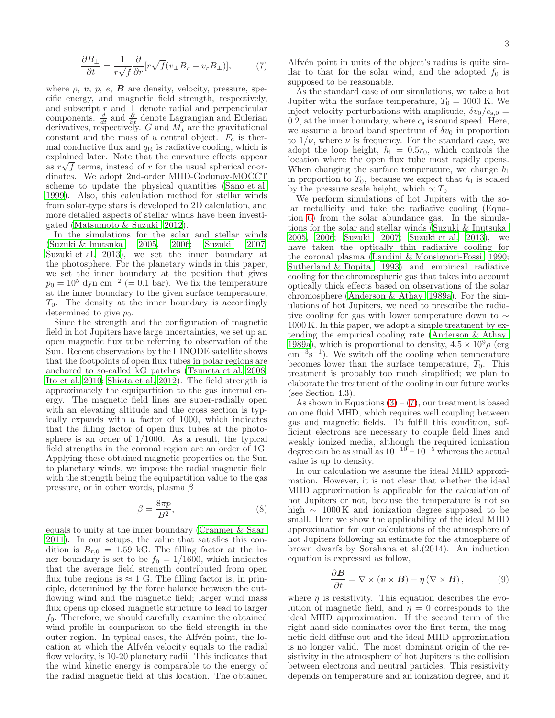<span id="page-2-0"></span>
$$
\frac{\partial B_{\perp}}{\partial t} = \frac{1}{r\sqrt{f}} \frac{\partial}{\partial r} [r\sqrt{f}(v_{\perp}B_r - v_rB_{\perp})],\tag{7}
$$

where  $\rho$ ,  $\boldsymbol{v}$ ,  $p$ ,  $e$ ,  $\boldsymbol{B}$  are density, velocity, pressure, specific energy, and magnetic field strength, respectively, and subscript r and  $\perp$  denote radial and perpendicular components.  $\frac{d}{dt}$  and  $\frac{\partial}{\partial t}$  denote Lagrangian and Eulerian derivatives, respectively. G and  $M_{\star}$  are the gravitational constant and the mass of a central object.  $F_c$  is thermal conductive flux and  $q<sub>R</sub>$  is radiative cooling, which is explained later. Note that the curvature effects appear as  $r\sqrt{f}$  terms, instead of r for the usual spherical coordinates. We adopt 2nd-order MHD-Godunov-MOCCT scheme to update the physical quantities [\(Sano et al.](#page-8-43) [1999\)](#page-8-43). Also, this calculation method for stellar winds from solar-type stars is developed to 2D calculation, and more detailed aspects of stellar winds have been investigated [\(Matsumoto & Suzuki 2012\)](#page-8-35).

In the simulations for the solar and stellar winds [\(Suzuki & Inutsuka 2005,](#page-8-28) [2006;](#page-8-29) [Suzuki 2007;](#page-8-30) [Suzuki et al. 2013\)](#page-8-31), we set the inner boundary at the photosphere. For the planetary winds in this paper, we set the inner boundary at the position that gives  $p_0 = 10^5$  dyn cm<sup>-2</sup> (= 0.1 bar). We fix the temperature at the inner boundary to the given surface temperature,  $T_0$ . The density at the inner boundary is accordingly determined to give  $p_0$ .

Since the strength and the configuration of magnetic field in hot Jupiters have large uncertainties, we set up an open magnetic flux tube referring to observation of the Sun. Recent observations by the HINODE satellite shows that the footpoints of open flux tubes in polar regions are anchored to so-called kG patches [\(Tsuneta et al. 2008;](#page-8-44) [Ito et al. 2010](#page-8-45); [Shiota et al. 2012\)](#page-8-46). The field strength is approximately the equipartition to the gas internal energy. The magnetic field lines are super-radially open with an elevating altitude and the cross section is typically expands with a factor of 1000, which indicates that the filling factor of open flux tubes at the photosphere is an order of 1/1000. As a result, the typical field strengths in the coronal region are an order of 1G. Applying these obtained magnetic properties on the Sun to planetary winds, we impose the radial magnetic field with the strength being the equipartition value to the gas pressure, or in other words, plasma  $\beta$ 

$$
\beta = \frac{8\pi p}{B^2},\tag{8}
$$

equals to unity at the inner boundary [\(Cranmer & Saar](#page-8-47) [2011\)](#page-8-47). In our setups, the value that satisfies this condition is  $B_{r,0} = 1.59$  kG. The filling factor at the inner boundary is set to be  $f_0 = 1/1600$ , which indicates that the average field strength contributed from open flux tube regions is  $\approx 1$  G. The filling factor is, in principle, determined by the force balance between the outflowing wind and the magnetic field; larger wind mass flux opens up closed magnetic structure to lead to larger  $f_0$ . Therefore, we should carefully examine the obtained wind profile in comparison to the field strength in the outer region. In typical cases, the Alfvén point, the location at which the Alfvén velocity equals to the radial flow velocity, is 10-20 planetary radii. This indicates that the wind kinetic energy is comparable to the energy of the radial magnetic field at this location. The obtained

3

Alfv<sup>en</sup> point in units of the object's radius is quite similar to that for the solar wind, and the adopted  $f_0$  is supposed to be reasonable.

As the standard case of our simulations, we take a hot Jupiter with the surface temperature,  $T_0 = 1000$  K. We inject velocity perturbations with amplitude,  $\delta v_0/c_{\rm s,0} =$ 0.2, at the inner boundary, where  $c_s$  is sound speed. Here, we assume a broad band spectrum of  $\delta v_0$  in proportion to  $1/\nu$ , where  $\nu$  is frequency. For the standard case, we adopt the loop height,  $h_1 = 0.5r_0$ , which controls the location where the open flux tube most rapidly opens. When changing the surface temperature, we change  $h_1$ in proportion to  $T_0$ , because we expect that  $h_1$  is scaled by the pressure scale height, which  $\propto T_0$ .

We perform simulations of hot Jupiters with the solar metallicity and take the radiative cooling (Equation [6\)](#page-1-0) from the solar abundance gas. In the simulations for the solar and stellar winds [\(Suzuki & Inutsuka](#page-8-28) [2005,](#page-8-28) [2006;](#page-8-29) [Suzuki 2007;](#page-8-30) [Suzuki et al. 2013\)](#page-8-31), we have taken the optically thin radiative cooling for the coronal plasma [\(Landini & Monsignori-Fossi 1990](#page-8-48); [Sutherland & Dopita 1993\)](#page-8-49) and empirical radiative cooling for the chromospheric gas that takes into account optically thick effects based on observations of the solar chromosphere [\(Anderson & Athay 1989a\)](#page-8-50). For the simulations of hot Jupiters, we need to prescribe the radiative cooling for gas with lower temperature down to ∼ 1000 K. In this paper, we adopt a simple treatment by extending the empirical cooling rate [\(Anderson & Athay](#page-8-50) [1989a\)](#page-8-50), which is proportional to density,  $4.5 \times 10^9 \rho$  (erg  $\text{cm}^{-3}\text{s}^{-1}$ ). We switch off the cooling when temperature becomes lower than the surface temperature,  $T_0$ . This treatment is probably too much simplified; we plan to elaborate the treatment of the cooling in our future works (see Section 4.3).

As shown in Equations  $(3) - (7)$  $(3) - (7)$ , our treatment is based on one fluid MHD, which requires well coupling between gas and magnetic fields. To fulfill this condition, sufficient electrons are necessary to couple field lines and weakly ionized media, although the required ionization degree can be as small as  $10^{-10} - 10^{-5}$  whereas the actual value is up to density.

In our calculation we assume the ideal MHD approximation. However, it is not clear that whether the ideal MHD approximation is applicable for the calculation of hot Jupiters or not, because the temperature is not so high  $\sim 1000 \text{ K}$  and ionization degree supposed to be small. Here we show the applicability of the ideal MHD approximation for our calculations of the atmosphere of hot Jupiters following an estimate for the atmosphere of brown dwarfs by Sorahana et al.(2014). An induction equation is expressed as follow,

$$
\frac{\partial \boldsymbol{B}}{\partial t} = \nabla \times (\boldsymbol{v} \times \boldsymbol{B}) - \eta (\nabla \times \boldsymbol{B}), \qquad (9)
$$

where  $\eta$  is resistivity. This equation describes the evolution of magnetic field, and  $\eta = 0$  corresponds to the ideal MHD approximation. If the second term of the right hand side dominates over the first term, the magnetic field diffuse out and the ideal MHD approximation is no longer valid. The most dominant origin of the resistivity in the atmosphere of hot Jupiters is the collision between electrons and neutral particles. This resistivity depends on temperature and an ionization degree, and it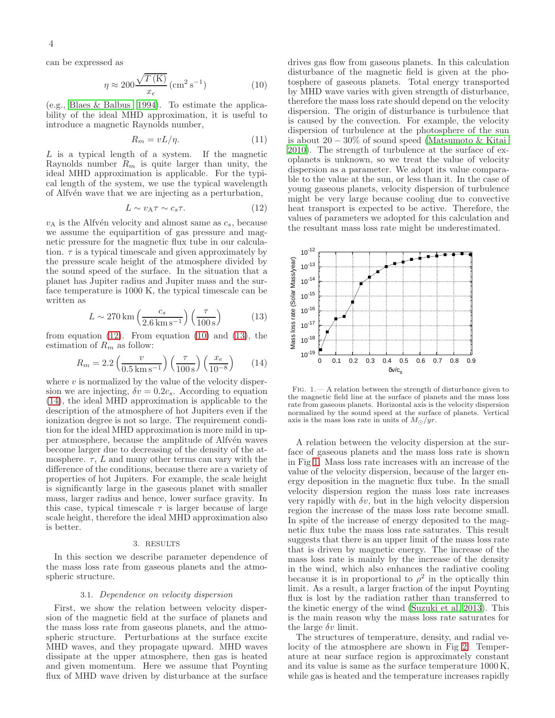can be expressed as

<span id="page-3-1"></span>
$$
\eta \approx 200 \frac{\sqrt{T(\text{K})}}{x_e} (\text{cm}^2 \text{ s}^{-1})
$$
\n(10)

(e.g., [Blaes & Balbus 1994\)](#page-8-51). To estimate the applicability of the ideal MHD approximation, it is useful to introduce a magnetic Raynolds number,

$$
R_m = vL/\eta. \tag{11}
$$

 $L$  is a typical length of a system. If the magnetic Raynolds number  $R_m$  is quite larger than unity, the ideal MHD approximation is applicable. For the typical length of the system, we use the typical wavelength of Alfv<sup>en</sup> wave that we are injecting as a perturbation,

<span id="page-3-0"></span>
$$
L \sim v_{\rm A} \tau \sim c_s \tau. \tag{12}
$$

 $v_A$  is the Alfvén velocity and almost same as  $c_s$ , because we assume the equipartition of gas pressure and magnetic pressure for the magnetic flux tube in our calculation.  $\tau$  is a typical timescale and given approximately by the pressure scale height of the atmosphere divided by the sound speed of the surface. In the situation that a planet has Jupiter radius and Jupiter mass and the surface temperature is 1000 K, the typical timescale can be written as

<span id="page-3-2"></span>
$$
L \sim 270 \,\mathrm{km} \left(\frac{c_s}{2.6 \,\mathrm{km} \,\mathrm{s}^{-1}}\right) \left(\frac{\tau}{100 \,\mathrm{s}}\right) \tag{13}
$$

from equation  $(12)$ . From equation  $(10)$  and  $(13)$ , the estimation of  $\mathcal{R}_m$  as follow:

<span id="page-3-3"></span>
$$
R_m = 2.2 \left(\frac{v}{0.5 \,\mathrm{km\,s^{-1}}}\right) \left(\frac{\tau}{100 \,\mathrm{s}}\right) \left(\frac{x_e}{10^{-8}}\right) \tag{14}
$$

where  $v$  is normalized by the value of the velocity dispersion we are injecting,  $\delta v = 0.2c_s$ . According to equation [\(14\)](#page-3-3), the ideal MHD approximation is applicable to the description of the atmosphere of hot Jupiters even if the ionization degree is not so large. The requirement condition for the ideal MHD approximation is more mild in upper atmosphere, because the amplitude of Alfvén waves become larger due to decreasing of the density of the atmosphere.  $\tau$ , L and many other terms can vary with the difference of the conditions, because there are a variety of properties of hot Jupiters. For example, the scale height is significantly large in the gaseous planet with smaller mass, larger radius and hence, lower surface gravity. In this case, typical timescale  $\tau$  is larger because of large scale height, therefore the ideal MHD approximation also is better.

## 3. RESULTS

In this section we describe parameter dependence of the mass loss rate from gaseous planets and the atmospheric structure.

### 3.1. Dependence on velocity dispersion

First, we show the relation between velocity dispersion of the magnetic field at the surface of planets and the mass loss rate from gaseous planets, and the atmospheric structure. Perturbations at the surface excite MHD waves, and they propagate upward. MHD waves dissipate at the upper atmosphere, then gas is heated and given momentum. Here we assume that Poynting flux of MHD wave driven by disturbance at the surface

drives gas flow from gaseous planets. In this calculation disturbance of the magnetic field is given at the photosphere of gaseous planets. Total energy transported by MHD wave varies with given strength of disturbance, therefore the mass loss rate should depend on the velocity dispersion. The origin of disturbance is turbulence that is caused by the convection. For example, the velocity dispersion of turbulence at the photosphere of the sun is about 20 − 30% of sound speed [\(Matsumoto & Kitai](#page-8-52) [2010\)](#page-8-52). The strength of turbulence at the surface of exoplanets is unknown, so we treat the value of velocity dispersion as a parameter. We adopt its value comparable to the value at the sun, or less than it. In the case of young gaseous planets, velocity dispersion of turbulence might be very large because cooling due to convective heat transport is expected to be active. Therefore, the values of parameters we adopted for this calculation and the resultant mass loss rate might be underestimated.



<span id="page-3-4"></span>Fig. 1.— A relation between the strength of disturbance given to the magnetic field line at the surface of planets and the mass loss rate from gaseous planets. Horizontal axis is the velocity dispersion normalized by the sound speed at the surface of planets. Vertical axis is the mass loss rate in units of  $M_{\odot}/yr$ .

A relation between the velocity dispersion at the surface of gaseous planets and the mass loss rate is shown in Fig [1.](#page-3-4) Mass loss rate increases with an increase of the value of the velocity dispersion, because of the larger energy deposition in the magnetic flux tube. In the small velocity dispersion region the mass loss rate increases very rapidly with  $\delta v$ , but in the high velocity dispersion region the increase of the mass loss rate become small. In spite of the increase of energy deposited to the magnetic flux tube the mass loss rate saturates. This result suggests that there is an upper limit of the mass loss rate that is driven by magnetic energy. The increase of the mass loss rate is mainly by the increase of the density in the wind, which also enhances the radiative cooling because it is in proportional to  $\rho^2$  in the optically thin limit. As a result, a larger fraction of the input Poynting flux is lost by the radiation rather than transferred to the kinetic energy of the wind [\(Suzuki et al. 2013\)](#page-8-31). This is the main reason why the mass loss rate saturates for the large  $\delta v$  limit.

The structures of temperature, density, and radial velocity of the atmosphere are shown in Fig [2.](#page-4-0) Temperature at near surface region is approximately constant and its value is same as the surface temperature 1000 K, while gas is heated and the temperature increases rapidly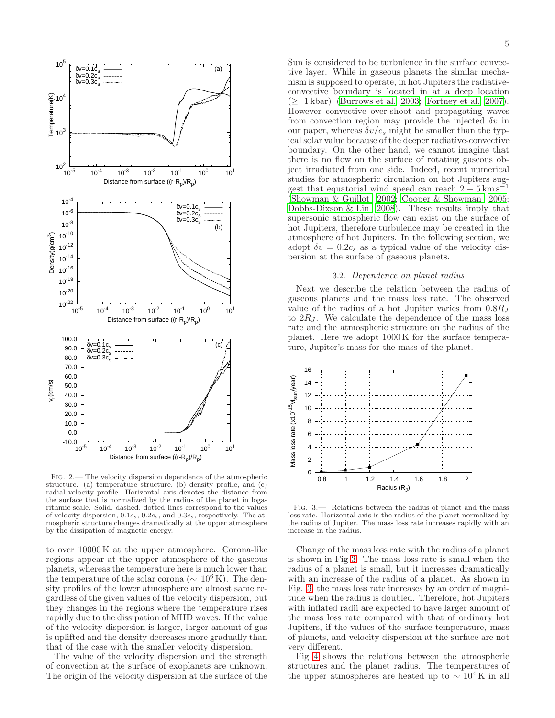

<span id="page-4-0"></span>Fig. 2.— The velocity dispersion dependence of the atmospheric structure. (a) temperature structure, (b) density profile, and (c) radial velocity profile. Horizontal axis denotes the distance from the surface that is normalized by the radius of the planet in logarithmic scale. Solid, dashed, dotted lines correspond to the values of velocity dispersion,  $0.1c_s$ ,  $0.2c_s$ , and  $0.3c_s$ , respectively. The atmospheric structure changes dramatically at the upper atmosphere by the dissipation of magnetic energy.

to over 10000 K at the upper atmosphere. Corona-like regions appear at the upper atmosphere of the gaseous planets, whereas the temperature here is much lower than the temperature of the solar corona ( $\sim 10^6$  K). The density profiles of the lower atmosphere are almost same regardless of the given values of the velocity dispersion, but they changes in the regions where the temperature rises rapidly due to the dissipation of MHD waves. If the value of the velocity dispersion is larger, larger amount of gas is uplifted and the density decreases more gradually than that of the case with the smaller velocity dispersion.

The value of the velocity dispersion and the strength of convection at the surface of exoplanets are unknown. The origin of the velocity dispersion at the surface of the

Sun is considered to be turbulence in the surface convective layer. While in gaseous planets the similar mechanism is supposed to operate, in hot Jupiters the radiativeconvective boundary is located in at a deep location  $(\geq 1 \text{ kbar})$  [\(Burrows et al. 2003;](#page-8-53) [Fortney et al. 2007](#page-8-54)). However convective over-shoot and propagating waves from convection region may provide the injected  $\delta v$  in our paper, whereas  $\delta v/c_s$  might be smaller than the typical solar value because of the deeper radiative-convective boundary. On the other hand, we cannot imagine that there is no flow on the surface of rotating gaseous object irradiated from one side. Indeed, recent numerical studies for atmospheric circulation on hot Jupiters suggest that equatorial wind speed can reach  $2 - 5$  km s<sup>-1</sup> [\(Showman & Guillot 2002](#page-8-55); [Cooper & Showman 2005](#page-8-56); [Dobbs-Dixson & Lin 2008\)](#page-8-57). These results imply that supersonic atmospheric flow can exist on the surface of hot Jupiters, therefore turbulence may be created in the atmosphere of hot Jupiters. In the following section, we adopt  $\delta v = 0.2c_s$  as a typical value of the velocity dispersion at the surface of gaseous planets.

### 3.2. Dependence on planet radius

Next we describe the relation between the radius of gaseous planets and the mass loss rate. The observed value of the radius of a hot Jupiter varies from  $0.8R_J$ to  $2R_J$ . We calculate the dependence of the mass loss rate and the atmospheric structure on the radius of the planet. Here we adopt 1000 K for the surface temperature, Jupiter's mass for the mass of the planet.



<span id="page-4-1"></span>Fig. 3.— Relations between the radius of planet and the mass loss rate. Horizontal axis is the radius of the planet normalized by the radius of Jupiter. The mass loss rate increases rapidly with an increase in the radius.

Change of the mass loss rate with the radius of a planet is shown in Fig [3.](#page-4-1) The mass loss rate is small when the radius of a planet is small, but it increases dramatically with an increase of the radius of a planet. As shown in Fig. [3,](#page-4-1) the mass loss rate increases by an order of magnitude when the radius is doubled. Therefore, hot Jupiters with inflated radii are expected to have larger amount of the mass loss rate compared with that of ordinary hot Jupiters, if the values of the surface temperature, mass of planets, and velocity dispersion at the surface are not very different.

Fig [4](#page-5-0) shows the relations between the atmospheric structures and the planet radius. The temperatures of the upper atmospheres are heated up to  $\sim 10^4$  K in all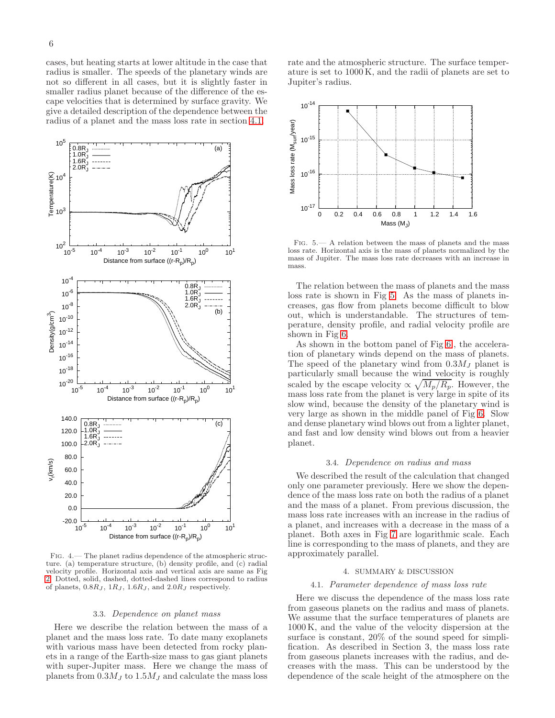cases, but heating starts at lower altitude in the case that radius is smaller. The speeds of the planetary winds are not so different in all cases, but it is slightly faster in smaller radius planet because of the difference of the escape velocities that is determined by surface gravity. We give a detailed description of the dependence between the radius of a planet and the mass loss rate in section [4.1.](#page-5-1)



<span id="page-5-0"></span>Fig. 4.— The planet radius dependence of the atmospheric structure. (a) temperature structure, (b) density profile, and (c) radial velocity profile. Horizontal axis and vertical axis are same as Fig [2.](#page-4-0) Dotted, solid, dashed, dotted-dashed lines correspond to radius of planets,  $0.8R_J$ ,  $1R_J$ ,  $1.6R_J$ , and  $2.0R_J$  respectively.

#### 3.3. Dependence on planet mass

Here we describe the relation between the mass of a planet and the mass loss rate. To date many exoplanets with various mass have been detected from rocky planets in a range of the Earth-size mass to gas giant planets with super-Jupiter mass. Here we change the mass of planets from  $0.3M_J$  to  $1.5M_J$  and calculate the mass loss

rate and the atmospheric structure. The surface temperature is set to 1000 K, and the radii of planets are set to Jupiter's radius.



<span id="page-5-2"></span>Fig. 5.— A relation between the mass of planets and the mass loss rate. Horizontal axis is the mass of planets normalized by the mass of Jupiter. The mass loss rate decreases with an increase in mass.

The relation between the mass of planets and the mass loss rate is shown in Fig [5.](#page-5-2) As the mass of planets increases, gas flow from planets become difficult to blow out, which is understandable. The structures of temperature, density profile, and radial velocity profile are shown in Fig [6.](#page-6-0)

As shown in the bottom panel of Fig [6.](#page-6-0), the acceleration of planetary winds depend on the mass of planets. The speed of the planetary wind from  $0.3M_J$  planet is particularly small because the wind velocity is roughly scaled by the escape velocity  $\propto \sqrt{M_p/R_p}$ . However, the mass loss rate from the planet is very large in spite of its slow wind, because the density of the planetary wind is very large as shown in the middle panel of Fig [6.](#page-6-0) Slow and dense planetary wind blows out from a lighter planet, and fast and low density wind blows out from a heavier planet.

## 3.4. Dependence on radius and mass

We described the result of the calculation that changed only one parameter previously. Here we show the dependence of the mass loss rate on both the radius of a planet and the mass of a planet. From previous discussion, the mass loss rate increases with an increase in the radius of a planet, and increases with a decrease in the mass of a planet. Both axes in Fig [7](#page-6-1) are logarithmic scale. Each line is corresponding to the mass of planets, and they are approximately parallel.

#### 4. SUMMARY & DISCUSSION

### <span id="page-5-1"></span>4.1. Parameter dependence of mass loss rate

Here we discuss the dependence of the mass loss rate from gaseous planets on the radius and mass of planets. We assume that the surface temperatures of planets are 1000 K, and the value of the velocity dispersion at the surface is constant, 20% of the sound speed for simplification. As described in Section 3, the mass loss rate from gaseous planets increases with the radius, and decreases with the mass. This can be understood by the dependence of the scale height of the atmosphere on the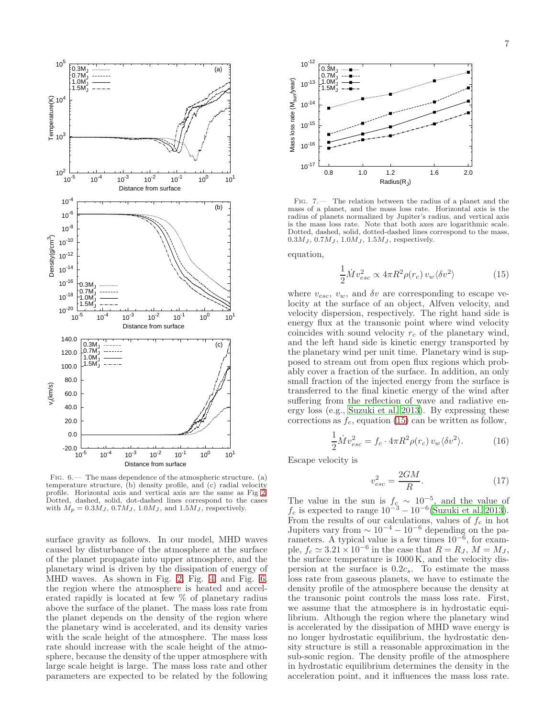

<span id="page-6-0"></span>Fig. 6.— The mass dependence of the atmospheric structure. (a) temperature structure, (b) density profile, and (c) radial velocity profile. Horizontal axis and vertical axis are the same as Fig [2.](#page-4-0) Dotted, dashed, solid, dot-dashed lines correspond to the cases with  $M_p = 0.3 M_J$ ,  $0.7 M_J$ ,  $1.0 M_J$ , and  $1.5 M_J$ , respectively.

surface gravity as follows. In our model, MHD waves caused by disturbance of the atmosphere at the surface of the planet propagate into upper atmosphere, and the planetary wind is driven by the dissipation of energy of MHD waves. As shown in Fig. [2,](#page-4-0) Fig. [4,](#page-5-0) and Fig. [6,](#page-6-0) the region where the atmosphere is heated and accelerated rapidly is located at few % of planetary radius above the surface of the planet. The mass loss rate from the planet depends on the density of the region where the planetary wind is accelerated, and its density varies with the scale height of the atmosphere. The mass loss rate should increase with the scale height of the atmosphere, because the density of the upper atmosphere with large scale height is large. The mass loss rate and other parameters are expected to be related by the following



<span id="page-6-1"></span>Fig. 7.— The relation between the radius of a planet and the mass of a planet, and the mass loss rate. Horizontal axis is the radius of planets normalized by Jupiter's radius, and vertical axis is the mass loss rate. Note that both axes are logarithmic scale. Dotted, dashed, solid, dotted-dashed lines correspond to the mass,  $0.3M_J, 0.7M_J, 1.0M_J, 1.5M_J,$  respectively.

equation,

<span id="page-6-2"></span>
$$
\frac{1}{2}\dot{M}v_{esc}^2 \propto 4\pi R^2 \rho(r_c) v_w \langle \delta v^2 \rangle \tag{15}
$$

where  $v_{esc}$ ,  $v_w$ , and  $\delta v$  are corresponding to escape velocity at the surface of an object, Alfven velocity, and velocity dispersion, respectively. The right hand side is energy flux at the transonic point where wind velocity coincides with sound velocity  $r_c$  of the planetary wind, and the left hand side is kinetic energy transported by the planetary wind per unit time. Planetary wind is supposed to stream out from open flux regions which probably cover a fraction of the surface. In addition, an only small fraction of the injected energy from the surface is transferred to the final kinetic energy of the wind after suffering from the reflection of wave and radiative energy loss (e.g., [Suzuki et al. 2013\)](#page-8-31). By expressing these corrections as  $f_c$ , equation [\(15\)](#page-6-2) can be written as follow,

$$
\frac{1}{2}\dot{M}v_{esc}^2 = f_c \cdot 4\pi R^2 \rho(r_c) v_w \langle \delta v^2 \rangle.
$$
 (16)

Escape velocity is

$$
v_{esc}^2 = \frac{2GM}{R}.\tag{17}
$$

The value in the sun is  $f_c \sim 10^{-5}$ , and the value of  $f_c$  is expected to range  $10^{-3} - 10^{-6}$  [\(Suzuki et al. 2013](#page-8-31)). From the results of our calculations, values of  $f_c$  in hot<br>Jupiters vary from  $\sim 10^{-4} - 10^{-6}$  depending on the parameters. A typical value is a few times  $10^{-6}$ , for example,  $f_c \simeq 3.21 \times 10^{-6}$  in the case that  $R = R_J$ ,  $M = M_J$ , the surface temperature is 1000 K, and the velocity dispersion at the surface is  $0.2c_s$ . To estimate the mass loss rate from gaseous planets, we have to estimate the density profile of the atmosphere because the density at the transonic point controls the mass loss rate. First, we assume that the atmosphere is in hydrostatic equilibrium. Although the region where the planetary wind is accelerated by the dissipation of MHD wave energy is no longer hydrostatic equilibrium, the hydrostatic density structure is still a reasonable approximation in the sub-sonic region. The density profile of the atmosphere in hydrostatic equilibrium determines the density in the acceleration point, and it influences the mass loss rate.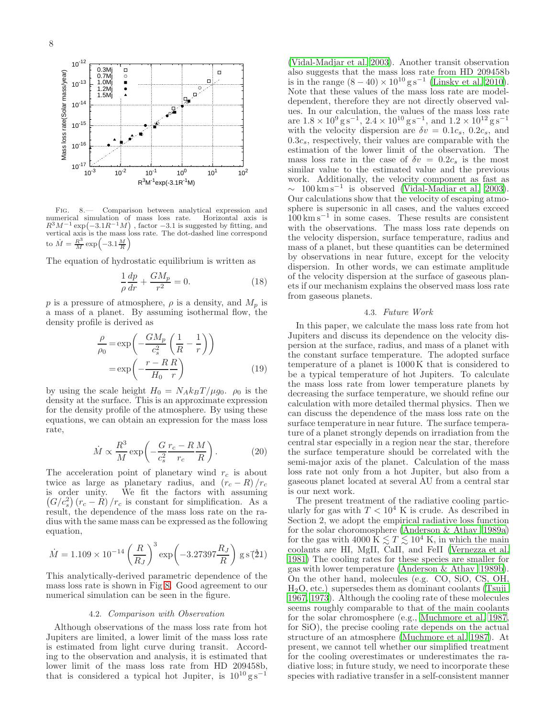

<span id="page-7-0"></span>Fig. 8.— Comparison between analytical expression and numerical simulation of mass loss rate. Horizontal axis is  $R^3M^{-1}$  exp $(-3.1R^{-1}M)$ , factor  $-3.1$  is suggested by fitting, and vertical axis is the mass loss rate. The dot-dashed line correspond to  $\dot{M} = \frac{R^3}{M} \exp\left(-3.1 \frac{M}{R}\right)$ 

The equation of hydrostatic equilibrium is written as

$$
\frac{1}{\rho}\frac{dp}{dr} + \frac{GM_p}{r^2} = 0.
$$
\n(18)

p is a pressure of atmosphere,  $\rho$  is a density, and  $M_p$  is a mass of a planet. By assuming isothermal flow, the density profile is derived as

$$
\frac{\rho}{\rho_0} = \exp\left(-\frac{GM_p}{c_s^2} \left(\frac{1}{R} - \frac{1}{r}\right)\right)
$$

$$
= \exp\left(-\frac{r - R}{H_0} \frac{R}{r}\right)
$$
(19)

by using the scale height  $H_0 = N_A k_B T / \mu g_0$ .  $\rho_0$  is the density at the surface. This is an approximate expression for the density profile of the atmosphere. By using these equations, we can obtain an expression for the mass loss rate,

$$
\dot{M} \propto \frac{R^3}{M} \exp\left(-\frac{G}{c_s^2} \frac{r_c - R}{r_c} \frac{M}{R}\right). \tag{20}
$$

The acceleration point of planetary wind  $r_c$  is about twice as large as planetary radius, and  $(r_c - R)/r_c$  is order unity. We fit the factors with assuming  $(G/c_s^2)(r_c - R)/r_c$  is constant for simplification. As a result, the dependence of the mass loss rate on the radius with the same mass can be expressed as the following equation,

$$
\dot{M} = 1.109 \times 10^{-14} \left(\frac{R}{R_J}\right)^3 \exp\left(-3.27397 \frac{R_J}{R}\right) \text{ g s}^{\text{*}}(\text{21})
$$

This analytically-derived parametric dependence of the mass loss rate is shown in Fig [8.](#page-7-0) Good agreement to our numerical simulation can be seen in the figure.

#### 4.2. Comparison with Observation

Although observations of the mass loss rate from hot Jupiters are limited, a lower limit of the mass loss rate is estimated from light curve during transit. According to the observation and analysis, it is estimated that lower limit of the mass loss rate from HD 209458b, that is considered a typical hot Jupiter, is  $10^{10}$  g s<sup>-1</sup>

[\(Vidal-Madjar et al. 2003\)](#page-8-1). Another transit observation also suggests that the mass loss rate from HD 209458b is in the range  $(8-40) \times 10^{10}$  g s<sup>-1</sup> [\(Linsky et al. 2010](#page-8-58)). Note that these values of the mass loss rate are modeldependent, therefore they are not directly observed values. In our calculation, the values of the mass loss rate are  $1.8 \times 10^9$  g s<sup>-1</sup>,  $2.4 \times 10^{10}$  g s<sup>-1</sup>, and  $1.2 \times 10^{12}$  g s<sup>-1</sup> with the velocity dispersion are  $\delta v = 0.1c_s$ ,  $0.2c_s$ , and  $0.3c_s$ , respectively, their values are comparable with the estimation of the lower limit of the observation. The mass loss rate in the case of  $\delta v = 0.2c_s$  is the most similar value to the estimated value and the previous work. Additionally, the velocity component as fast as  $\sim$  100 km s<sup>-1</sup> is observed [\(Vidal-Madjar et al. 2003](#page-8-1)). Our calculations show that the velocity of escaping atmosphere is supersonic in all cases, and the values exceed 100 km s−<sup>1</sup> in some cases. These results are consistent with the observations. The mass loss rate depends on the velocity dispersion, surface temperature, radius and mass of a planet, but these quantities can be determined by observations in near future, except for the velocity dispersion. In other words, we can estimate amplitude of the velocity dispersion at the surface of gaseous planets if our mechanism explains the observed mass loss rate from gaseous planets.

### 4.3. Future Work

In this paper, we calculate the mass loss rate from hot Jupiters and discuss its dependence on the velocity dispersion at the surface, radius, and mass of a planet with the constant surface temperature. The adopted surface temperature of a planet is 1000 K that is considered to be a typical temperature of hot Jupiters. To calculate the mass loss rate from lower temperature planets by decreasing the surface temperature, we should refine our calculation with more detailed thermal physics. Then we can discuss the dependence of the mass loss rate on the surface temperature in near future. The surface temperature of a planet strongly depends on irradiation from the central star especially in a region near the star, therefore the surface temperature should be correlated with the semi-major axis of the planet. Calculation of the mass loss rate not only from a hot Jupiter, but also from a gaseous planet located at several AU from a central star is our next work.

The present treatment of the radiative cooling particularly for gas with  $T < 10^4$  K is crude. As described in Section 2, we adopt the empirical radiative loss function for the solar choromosphere [\(Anderson & Athay 1989a](#page-8-50)) for the gas with 4000  $\bar{K} \lesssim T \lesssim 10^4$  K, in which the main coolants are HI, MgII, CaII, and FeII [\(Vernezza et al.](#page-8-59) [1981\)](#page-8-59) The cooling rates for these species are smaller for gas with lower temperature [\(Anderson & Athay 1989b](#page-8-60)). On the other hand, molecules (e.g. CO, SiO, CS, OH,  $H<sub>2</sub>O$ , etc.) supersedes them as dominant coolants [\(Tsuji](#page-8-61) [1967,](#page-8-61) [1973\)](#page-8-62). Although the cooling rate of these molecules seems roughly comparable to that of the main coolants for the solar chromosphere (e.g., [Muchmore et al. 1987](#page-8-63), for SiO), the precise cooling rate depends on the actual structure of an atmosphere [\(Muchmore et al. 1987\)](#page-8-63). At present, we cannot tell whether our simplified treatment for the cooling overestimates or underestimates the radiative loss; in future study, we need to incorporate these species with radiative transfer in a self-consistent manner